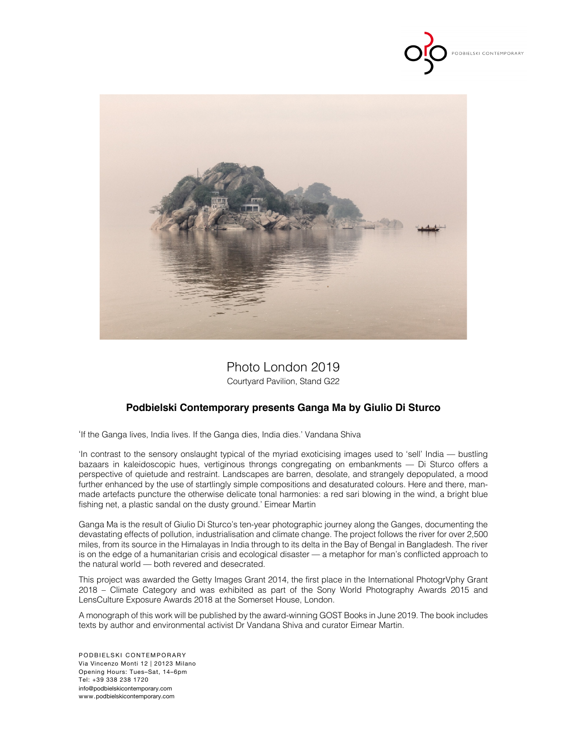



# Photo London 2019

Courtyard Pavilion, Stand G22

## **Podbielski Contemporary presents Ganga Ma by Giulio Di Sturco**

'If the Ganga lives, India lives. If the Ganga dies, India dies.' Vandana Shiva

'In contrast to the sensory onslaught typical of the myriad exoticising images used to 'sell' India — bustling bazaars in kaleidoscopic hues, vertiginous throngs congregating on embankments — Di Sturco offers a perspective of quietude and restraint. Landscapes are barren, desolate, and strangely depopulated, a mood further enhanced by the use of startlingly simple compositions and desaturated colours. Here and there, manmade artefacts puncture the otherwise delicate tonal harmonies: a red sari blowing in the wind, a bright blue fishing net, a plastic sandal on the dusty ground.' Eimear Martin

Ganga Ma is the result of Giulio Di Sturco's ten-year photographic journey along the Ganges, documenting the devastating effects of pollution, industrialisation and climate change. The project follows the river for over 2,500 miles, from its source in the Himalayas in India through to its delta in the Bay of Bengal in Bangladesh. The river is on the edge of a humanitarian crisis and ecological disaster — a metaphor for man's conflicted approach to the natural world — both revered and desecrated.

This project was awarded the Getty Images Grant 2014, the first place in the International PhotogrVphy Grant 2018 – Climate Category and was exhibited as part of the Sony World Photography Awards 2015 and LensCulture Exposure Awards 2018 at the Somerset House, London.

A monograph of this work will be published by the award-winning GOST Books in June 2019. The book includes texts by author and environmental activist Dr Vandana Shiva and curator Eimear Martin.

PODBIELSKI CONTEMPORARY Via Vincenzo Monti 12 | 20123 Milano Opening Hours: Tues–Sat, 14–6pm Tel: +39 338 238 1720 info@podbielskicontemporary.com www.podbielskicontemporary.com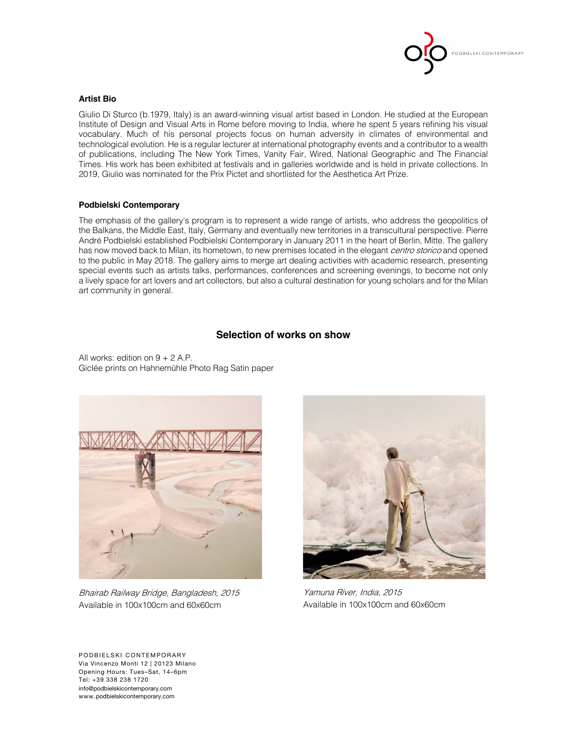

#### **Artist Bio**

Giulio Di Sturco (b.1979, Italy) is an award-winning visual artist based in London. He studied at the European Institute of Design and Visual Arts in Rome before moving to India, where he spent 5 years refining his visual vocabulary. Much of his personal projects focus on human adversity in climates of environmental and technological evolution. He is a regular lecturer at international photography events and a contributor to a wealth of publications, including The New York Times, Vanity Fair, Wired, National Geographic and The Financial Times. His work has been exhibited at festivals and in galleries worldwide and is held in private collections. In 2019, Giulio was nominated for the Prix Pictet and shortlisted for the Aesthetica Art Prize.

#### **Podbielski Contemporary**

The emphasis of the gallery's program is to represent a wide range of artists, who address the geopolitics of the Balkans, the Middle East, Italy, Germany and eventually new territories in a transcultural perspective. Pierre André Podbielski established Podbielski Contemporary in January 2011 in the heart of Berlin, Mitte. The gallery has now moved back to Milan, its hometown, to new premises located in the elegant *centro storico* and opened to the public in May 2018. The gallery aims to merge art dealing activities with academic research, presenting special events such as artists talks, performances, conferences and screening evenings, to become not only a lively space for art lovers and art collectors, but also a cultural destination for young scholars and for the Milan art community in general.

### **Selection of works on show**

All works: edition on 9 + 2 A.P. Giclée prints on Hahnemühle Photo Rag Satin paper



Bhairab Railway Bridge, Bangladesh, 2015 Available in 100x100cm and 60x60cm



Yamuna River, India, 2015 Available in 100x100cm and 60x60cm

PODBIELSKI CONTEMPORARY Via Vincenzo Monti 12 | 20123 Milano Opening Hours: Tues–Sat, 14–6pm Tel: +39 338 238 1720 info@podbielskicontemporary.com www.podbielskicontemporary.com